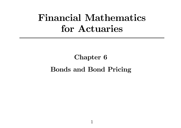# Financial Mathematics for Actuaries

#### Chapter 6

#### Bonds and Bond Pricing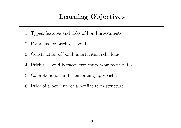## Learning Objectives

- 1. Types, features and risks of bond investments
- 2. Formulas for pricing <sup>a</sup> bond
- 3. Construction of bond amortization schedules
- 4. Pricing <sup>a</sup> bond between two coupon-payment dates
- 5. Callable bonds and their pricing approaches
- 6. Price of <sup>a</sup> bond under <sup>a</sup> non flat term structure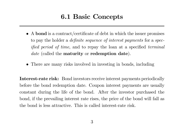#### 6.1 Basic Concepts

- A **bond** is a contract/certificate of debt in which the issuer promises to pay the holder <sup>a</sup> definite sequence of interest payments for <sup>a</sup> spec*ified period of time*, and to repay the loan at a specified *terminal*  $\emph{date}$  (called the **maturity** or **redemption date**).
- There are many risks involved in investing in bonds, including

**Interest-rate risk:** Bond investors receive interest payments periodically before the bond redemption date. Coupon interest payments are usually constant during the life of the bond. After the investor purchased the bond, if the prevailing interest rate rises, the price of the bond will fall as the bond is less attractive. This is called interest-rate risk.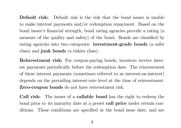Default risk: Default risk is the risk that the bond issuer is unableto make interest payments and/or redemption repayment. Based on the bond issuer's financial strength, bond rating agencies provide <sup>a</sup> rating (a measure of the quality and safety) of the bond. Bonds are classified by rating agencies into two categories: investment-grade bonds (a safer class) and junk bonds (a riskier class).

Reinvestment risk: For coupon-paying bonds, investors receive interest payments periodically before the redemption date. The reinvestment of these interest payments (sometimes referred to as interest-on-interest) depends on the prevailing interest-rate level at the time of reinvestment. Zero-coupon bonds do not have reinvestment risk.

Call risk: The issuer of a callable bond has the right to redeem the bond prior to its maturity date at a preset call price under certain conditions. These conditions are specified at the bond issue date, and are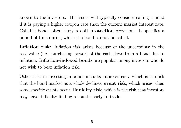known to the investors. The issuer will typically consider calling <sup>a</sup> bond if it is paying <sup>a</sup> higher coupon rate than the current market interest rate. Callable bonds often carry a **call protection** provision. It specifies a period of time during which the bond cannot be called.

Inflation risk: Inflation risk arises because of the uncertainty in the real value (i.e., purchasing power) of the cash flows from <sup>a</sup> bond due to inflation. Inflation-indexed bonds are popular among investors who do not wish to bear in flation risk.

Other risks in investing in bonds include: market risk, which is the risk that the bond market as <sup>a</sup> whole declines; event risk, which arises when some specific events occur; **liquidity risk**, which is the risk that investors may have di fficulty finding <sup>a</sup> counterparty to trade.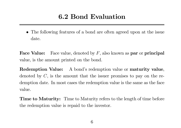### 6.2 Bond Evaluation

• The following features of <sup>a</sup> bond are often agreed upon at the issue  $\mathrm{date}.$ 

Face Value: $\colon$  Face value, denoted by  $F$ , also known as **par** or **principal** value, is the amount printed on the bond.

Redemption Value: A bond's redemption value or maturity value, denoted by C, is the amount that the issuer promises to pay on the redemption date. In most cases the redemption value is the same as the face value.

**Time to Maturity:** Time to Maturity refers to the length of time before the redemption value is repaid to the investor.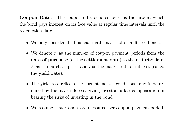**Coupon Rate:** The coupon rate, denoted by  $r$ , is the rate at which the bond pays interest on its face value at regular time intervals until the redemption date.

- We only consider the financial mathematics of default-free bonds.
- We denote n as the number of coupon payment periods from the date of purchase (or the settlement date) to the maturity date, P as the purchase price, and i as the market rate of interest (called the **yield rate**).
- The <sup>y</sup>ield rate reflects the current market conditions, and is determined by the market forces, giving investors <sup>a</sup> fair compensation in bearing the risks of investing in the bond.
- We assume that r and i are measured per coupon-payment period.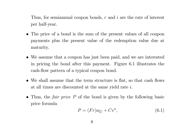Thus, for semiannual coupon bonds, r and i are the rate of interest per half-year.

- The price of <sup>a</sup> bond is the sum of the present values of all coupon payments <sup>p</sup>lus the present value of the redemption value due at maturity.
- We assume that <sup>a</sup> coupon has just been paid, and we are interested in pricing the bond after this payment. Figure 6.1 illustrates the cash-flow pattern of <sup>a</sup> typical coupon bond.
- We shall assume that the term structure is flat, so that cash flows at all times are discounted at the same yield rate i.
- Thus, the *fair price* P of the bond is given by the following basic price formula

$$
P = (Fr)a_{\overline{n}|} + Cv^n,
$$
\n(6.1)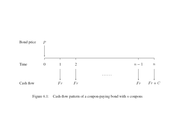

Figure 6.1: Cash-flow pattern of a coupon-paying bond with  $n$  coupons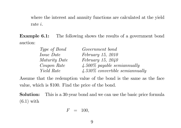where the interest and annuity functions are calculated at the <sup>y</sup>ield  $\mathrm{rate}\;i.$ 

**Example 6.1:** The following shows the results of a government bond auction:

| Type of Bond      | Government bond                    |
|-------------------|------------------------------------|
| <i>Issue Date</i> | $February\ 15,\ 2010$              |
| Maturity Date     | $February\ 15,\ 2040$              |
| Coupon Rate       | $\mu$ 4.500% payable semiannually  |
| <i>Yield Rate</i> | $4.530\%$ convertible semiannually |

Assume that the redemption value of the bond is the same as the face value, which is \$100. Find the price of the bond.

Solution: This is <sup>a</sup> 30-year bond and we can use the basic price formula (6.1) with

$$
F\ =\ 100,
$$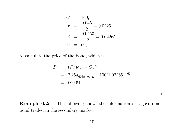$$
C = 100,
$$
  
\n
$$
r = \frac{0.045}{2} = 0.0225,
$$
  
\n
$$
i = \frac{0.0453}{2} = 0.02265,
$$
  
\n
$$
n = 60,
$$

to calculate the price of the bond, which is

$$
P = (Fr)a_{\overline{n}|} + Cv^n
$$
  
= 2.25a<sub>60</sub><sub>0.02265</sub> + 100(1.02265)<sup>-60</sup>  
= \$99.51.

Example 6.2: The following shows the information of <sup>a</sup> government bond traded in the secondary market.

 $\Box$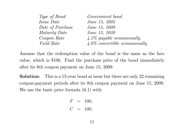| <i>Type of Bond</i> | Government bond                  |
|---------------------|----------------------------------|
| <i>Issue Date</i>   | <i>June 15, 2005</i>             |
| Date of Purchase    | <i>June 15, 2009</i>             |
| Maturity Date       | <i>June 15, 2020</i>             |
| Coupon Rate         | $4.2\%$ payable semiannually     |
| Yield Rate          | $4.0\%$ convertible semiannually |

Assume that the redemption value of the bond is the same as the face value, which is \$100. Find the purchase price of the bond immediately after its 8th coupon payment on June 15, 2009.

Solution: This is <sup>a</sup> 15-year bond at issue but there are only 22 remaining coupon-payment periods after its 8th coupon payment on June 15, 2009. We use the basic price formula (6.1) with

$$
F = 100,
$$
  

$$
C = 100,
$$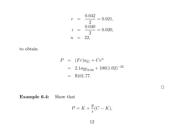$$
r = \frac{0.042}{2} = 0.021,
$$
  
\n
$$
i = \frac{0.040}{2} = 0.020,
$$
  
\n
$$
n = 22,
$$

to obtain

$$
P = (Fr)a_{\overline{n}|} + Cv^n
$$
  
= 2.1a<sub>22</sub>/0.02 + 100(1.02)<sup>-22</sup>  
= \$101.77.

 $\Box$ 

Example 6.4: Show that

$$
P = K + \frac{g}{i}(C - K),
$$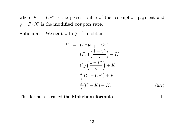where  $K = Cv^n$  is the present value of the redemption payment and  $g = Fr/C$  is the modified coupon rate.

Solution:We start with  $(6.1)$  to obtain

$$
P = (Fr)a_{\overline{n}|} + Cv^n
$$
  
\n
$$
= (Fr)\left(\frac{1 - v^n}{i}\right) + K
$$
  
\n
$$
= Cg\left(\frac{1 - v^n}{i}\right) + K
$$
  
\n
$$
= \frac{g}{i}(C - Cv^n) + K
$$
  
\n
$$
= \frac{g}{i}(C - K) + K.
$$
 (6.2)

This formula is called the **Makeham formula**.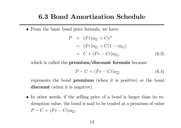#### 6.3 Bond Amortization Schedule

• From the basic bond price formula, we have:

$$
P = (Fr)a_{\overline{n}|} + Cv^n
$$
  
=  $(Fr)a_{\overline{n}|} + C(1 - ia_{\overline{n}|})$   
=  $C + (Fr - Ci)a_{\overline{n}|}$ , (6.3)

which is called the **premium/discount formula** because

$$
P - C = (Fr - Ci)a_{\overline{n}|} \tag{6.4}
$$

represents the bond premium (when it is positive) or the bond discount (when it is negative).

• In other words, if the selling price of <sup>a</sup> bond is larger than its redemption value, the bond is said to be traded at <sup>a</sup> premium of value  $P-C=(Fr$  $- Ci$ ) $a_{\overline{n}}$ .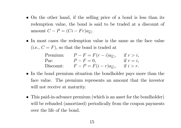- On the other hand, if the selling price of <sup>a</sup> bond is less than its redemption value, the bond is said to be traded at <sup>a</sup> discount of amount  $C - P = (Ci - Fr)a_{\overline{n}}$ .
- In most cases the redemption value is the same as the face value  $(i.e., C = F)$ , so that the bond is traded at

| Premium:  | $P - F = F(r - i)a_{\overline{n}}$ , | if $r > i$ , |
|-----------|--------------------------------------|--------------|
| Par:      | $P - F = 0$ ,                        | if $r=i$ ,   |
| Discount: | $F - P = F(i - r)a_{\overline{n}}$ , | if $i > r$ . |

- In the bond premium situation the bondholder pays more than the face value. The premium represents an amount that the investor will not receive at maturity.
- This paid-in-advance premium (which is an asset for the bondholder) will be refunded (amortized) periodically from the coupon payments over the life of the bond.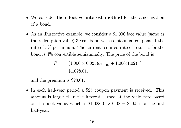- We consider the **effective interest method** for the amortization of <sup>a</sup> bond.
- As an illustrative example, we consider <sup>a</sup> \$1,000 face value (same as the redemption value) 3-year bond with semiannual coupons at the rate of  $5\%$  per annum. The current required rate of return *i* for the bond is 4% convertible semiannually. The price of the bond is

$$
P = (1,000 \times 0.025)a_{\overline{6}|0.02} + 1,000(1.02)^{-6}
$$
  
= \$1,028.01,

and the premium is \$28.01.

• In each half-year period <sup>a</sup> \$25 coupon payment is received. This amount is larger than the interest earned at the yield rate based on the book value, which is  $$1,028.01 \times 0.02 = $20.56$  for the first half-year.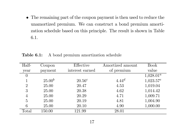• The remaining part of the coupon payment is then used to reduce the unamortized premium. We can construct <sup>a</sup> bond premium amortization schedule based on this principle. The result is shown in Table 6.1.

Table 6.1:A bond premium amortization schedule

| Half-          | Coupon      | Effective       | Amortized amount | <b>Book</b>               |
|----------------|-------------|-----------------|------------------|---------------------------|
| year           | payment     | interest earned | of premium       | value                     |
| $\overline{0}$ |             |                 |                  | $1,028.01^{\overline{a}}$ |
|                | $25.00^{b}$ | $20.56^{c}$     | $4.44^{d}$       | $1,023.57^e$              |
| $\overline{2}$ | 25.00       | 20.47           | 4.53             | 1,019.04                  |
| 3              | 25.00       | 20.38           | 4.62             | 1,014.42                  |
| $\overline{4}$ | 25.00       | 20.29           | 4.71             | 1,009.71                  |
| $\overline{5}$ | 25.00       | 20.19           | 4.81             | 1,004.90                  |
| 6              | 25.00       | 20.10           | 4.90             | 1,000.00                  |
| Total          | 150.00      | 121.99          | 28.01            |                           |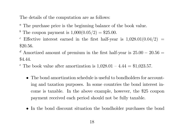The details of the computation are as follows:

- <sup>a</sup> The purchase price is the beginning balance of the book value.
- <sup>b</sup> The coupon payment is  $1,000(0.05/2) = $25.00$ .
- <sup>c</sup> Effective interest earned in the first half-year is  $1,028.01(0.04/2)$  = \$20.56.
- $d$  Amortized amount of premium in the first half-year is 25.00  $-20.56=$ \$4.44.
- <sup>e</sup> The book value after amortization is  $1,028.01 4.44 = $1,023.57$ .
	- The bond amortization schedule is useful to bondholders for accounting and taxation purposes. In some countries the bond interest income is taxable. In the above example, however, the \$25 coupon payment received each period should not be fully taxable.
	- In the bond discount situation the bondholder purchases the bond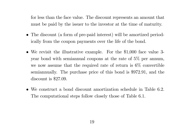for less than the face value. The discount represents an amount that must be paid by the issuer to the investor at the time of maturity.

- The discount (a form of pre-paid interest) will be amortized periodically from the coupon payments over the life of the bond.
- We revisit the illustrative example. For the \$1,000 face value 3 year bond with semiannual coupons at the rate of 5% per annum, we now assume that the required rate of return is 6% convertible semiannually. The purchase price of this bond is \$972.91, and the discount is \$27.09.
- We construct a bond discount amortization schedule in Table 6.2. The computational steps follow closely those of Table 6.1.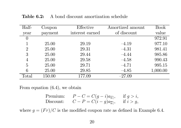| Half-          | Coupon  | Effective       | Amortized amount | Book     |
|----------------|---------|-----------------|------------------|----------|
| year           | payment | interest earned | of discount      | value    |
| $\cup$         |         |                 |                  | 972.91   |
|                | 25.00   | 29.19           | $-4.19$          | 977.10   |
| $\overline{2}$ | 25.00   | 29.31           | $-4.31$          | 981.41   |
| 3              | 25.00   | 29.44           | $-4.44$          | 985.86   |
| $\overline{4}$ | 25.00   | 29.58           | $-4.58$          | 990.43   |
| $\overline{5}$ | 25.00   | 29.71           | $-4.71$          | 995.15   |
| 6              | 25.00   | 29.85           | $-4.85$          | 1,000.00 |
| Total          | 150.00  | 177.09          | $-27.09$         |          |

Table 6.2:A bond discount amortization schedule

From equation  $(6.4)$ , we obtain

| Premium:  | $P-C=C(g-i)a_{\overline{n}}\,$ | if $q > i$ , |
|-----------|--------------------------------|--------------|
| Discount: | $C-P=C(i-g)a_{\overline{n}}$   | if $i > g$ , |

where  $g = (Fr)/C$  is the modified coupon rate as defined in Example 6.4.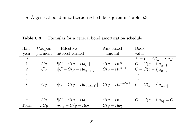• A general bond amortization schedule is given in Table 6.3.

#### Table 6.3:Formulas for <sup>a</sup> general bond amortization schedule

| Half-          | Coupon  | Effective                                   | Amortized                         | Book                                          |
|----------------|---------|---------------------------------------------|-----------------------------------|-----------------------------------------------|
| year           | payment | interest earned                             | amount                            | value                                         |
| $\overline{0}$ |         |                                             |                                   | $\overline{P} = C + C(g - i)a_{\overline{n}}$ |
|                | Cg      | $i[C+C(g-i)a_{\overline{n}}]$               | $\frac{C(g-i)v^n}{C(g-i)v^{n-1}}$ | $C + C(g - i)a_{\overline{n-1}}$              |
| $\overline{2}$ | Cq      | $i[C + C(g - i)a_{\overline{n-1}}]$         |                                   | $C + C(g - i)a_{\overline{n-2}}$              |
| $\bullet$      |         |                                             |                                   |                                               |
| $\bullet$      |         |                                             |                                   |                                               |
| $t_{i}$        | Cq      | $i[C + C(g - i)a_{\overline{n-t+1}}]$       | $C(g-i)v^{n-t+1}$                 | $C + C(g - i)a_{\overline{n-t}}$              |
|                |         |                                             |                                   |                                               |
| $\bullet$      |         |                                             |                                   |                                               |
| $n_{\rm}$      | Cg      | $i[C + C(g - i)a_{\overline{1}}]$           | $C(g-i)v$                         | $C+C(g-i)a_{\overline{0}}=C$                  |
| $\rm Total$    | nCq     | $\overline{n}Cq - C(g - i)a_{\overline{n}}$ | $C(q-i)a_{\overline{n}}$          |                                               |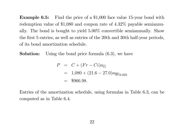**Example 6.5:** Find the price of a \$1,000 face value 15-year bond with redemption value of \$1,080 and coupon rate of 4.32% payable semiannually. The bond is bought to <sup>y</sup>ield 5.00% convertible semiannually. Show the first 5 entries, as well as entries of the 20th and 30th half-year periods, of its bond amortization schedule.

Solution:Using the bond price formula (6.3), we have

$$
P = C + (Fr - Ci)a_{\overline{n}|}
$$
  
= 1,080 + (21.6 - 27.0)a\_{\overline{30}|0.025}  
= \$966.98.

Entries of the amortization schedule, using formulas in Table 6.3, can be computed as in Table 6.4.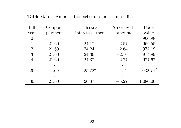| Half-          | Coupon    | Effective       | Amortized | <b>Book</b>             |
|----------------|-----------|-----------------|-----------|-------------------------|
| year           | payment   | interest earned | amount    | value                   |
| U              |           |                 |           | 966.98                  |
|                | 21.60     | 24.17           | $-2.57$   | 969.55                  |
| $\overline{2}$ | 21.60     | 24.24           | $-2.64$   | 972.19                  |
| 3              | 21.60     | 24.30           | $-2.70$   | 974.89                  |
| $\overline{4}$ | 21.60     | 24.37           | $-2.77$   | 977.67                  |
|                |           |                 |           |                         |
| 20             | $21.60^a$ | $25.72^{b}$     | $-4.12^c$ | $1,032.74$ <sup>d</sup> |
|                |           |                 | $\bullet$ |                         |
| 30             | 21.60     | 26.87           | $-5.27$   | 1,080.00                |

**Table 6.4:** Amortization schedule for Example 6.5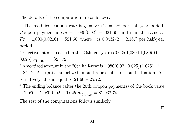The details of the computation are as follows:

<sup>*a*</sup> The modified coupon rate is  $g =$  $F = Fr/C = 2\%$  per half-year period. Coupon payment is  $Cg =$  $= 1,080(0.02) = $21.60$ , and it is the same as  $Fr=$  $= 1,000(0.0216) = $21.60$ , where r is  $0.0432/2 = 2.16\%$  per half-year period.

<sup>b</sup> Effective interest earned in the 20th half-year is  $0.025[1,080+1,080(0.02)$ −  $[0.025)a_{\overline{11}|0.025}]=\$25.72.$ 

 $\rm ^c$  Amortized amount in the 20th half-year is  $1,\!080(0.02)$  $-0.025(1.025)^{-11} =$ <sup>−</sup>\$4.12. A negative amortized amount represents <sup>a</sup> discount situation. Alternatively, this is equal to  $21.60 - 25.72$ .

 $d$  The ending balance (after the 20th coupon payments) of the book value is  $1{,}080 + 1{,}080(0.02)$  $-0.025)a_{\overline{10}|0.025}$  = \$1,032.74.

The rest of the computations follows similarly.

2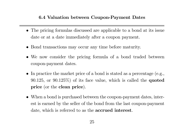#### 6.4 Valuation between Coupon-Payment Dates

- The pricing formulas discussed are applicable to <sup>a</sup> bond at its issue date or at <sup>a</sup> date immediately after <sup>a</sup> coupon payment.
- Bond transactions may occur any time before maturity.
- We now consider the pricing formula of <sup>a</sup> bond traded between coupon-payment dates.
- In practice the market price of <sup>a</sup> bond is stated as <sup>a</sup> percentage (e.g., 90.125, or 90.125%) of its face value, which is called the quoted price (or the clean price).
- When a bond is purchased between the coupon-payment dates, interest is earned by the seller of the bond from the last coupon-payment date, which is referred to as the accrued interest.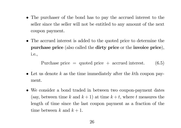- The purchaser of the bond has to pay the accrued interest to the seller since the seller will not be entitled to any amount of the next coupon payment.
- The accrued interest is added to the quoted price to determine the purchase price (also called the dirty price or the invoice price), i.e.,

Purchase price  $=$  quoted price  $+$  accrued interest. (6.5)

- Let us denote  $k$  as the time immediately after the  $k$ <sup>th</sup> coupon pay- $\quad$
- We consider a bond traded in between two coupon-payment dates (say, between time k and  $k + 1$ ) at time  $k + t$ , where t measures the length of time since the last coupon payment as <sup>a</sup> fraction of the time between k and  $k+1$ .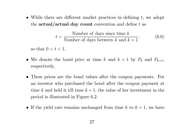• While there are different market practices in defining  $t$ , we adopt the actual/actual day count convention and define  $t$  as

$$
t = \frac{\text{Number of days since time } k}{\text{Number of days between } k \text{ and } k+1},\tag{6.6}
$$

so that  $0 < t < 1$ .

- We denote the bond price at time k and  $k + 1$  by  $P_k$  and  $P_{k+1}$ , respectively.
- These prices are the bond values after the coupon payments. For an investor who purchased the bond after the coupon payment at time k and held it till time  $k + 1$ , the value of her investment in the period is illustrated in Figure 6.2.
- If the yield rate remains unchanged from time  $k$  to  $k + 1$ , we have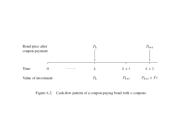

Figure 6.2: Cash-flow pattern of a coupon-paying bond with  $n$  coupons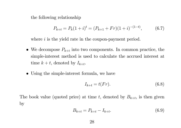the following relationship

$$
P_{k+t} = P_k(1+i)^t = (P_{k+1} + Fr)(1+i)^{-(1-t)}, \tag{6.7}
$$

where  $i$  is the yield rate in the coupon-payment period.

- We decompose  $P_{k+t}$  into two components. In common practice, the simple-interest method is used to calculate the accrued interest at time  $k + t$ , denoted by  $I_{k+t}$ .
- Using the simple-interest formula, we have

$$
I_{k+t} = t(Fr). \tag{6.8}
$$

The book value (quoted price) at time t, denoted by  $B_{k+t}$ , is then given by

$$
B_{k+t} = P_{k+t} - I_{k+t}.\tag{6.9}
$$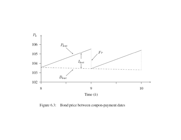

Figure 6.3: Bond price between coupon-payment dates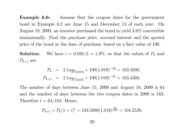**Example 6.6:** Assume that the coupon dates for the government bond in Example 6.2 are June 15 and December 15 of each year. On August 18, 2009, an investor purchased the bond to <sup>y</sup>ield 3.8% convertible semiannually. Find the purchase price, accrued interest and the quoted price of the bond at the date of purchase, based on <sup>a</sup> face value of 100.

Solution:We have  $i = 0.038/2 = 1.9\%$ , so that the values of  $P_k$  and  $P_{k+1}$  are

$$
P_k = 2.1a_{\overline{22}|0.019} + 100(1.019)^{-22} = 103.5690,
$$
  

$$
P_{k+1} = 2.1a_{\overline{21}|0.019} + 100(1.019)^{-21} = 103.4368.
$$

The number of days between June 15, 2009 and August 18, 2009 is 64 and the number of days between the two coupon dates in 2009 is 183. Therefore  $t = 64/183$ . Hence,

$$
P_{k+t} = P_k(1+i)^t = 103.5690(1.019)^{\frac{64}{183}} = 104.2529,
$$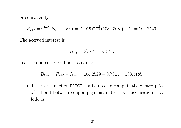or equivalently,

$$
P_{k+t} = v^{1-t}(P_{k+1} + Fr) = (1.019)^{-\frac{119}{183}}(103.4368 + 2.1) = 104.2529.
$$

The accrued interest is

$$
I_{k+t} = t(Fr) = 0.7344,
$$

and the quoted price (book value) is:

$$
B_{k+t} = P_{k+t} - I_{k+t} = 104.2529 - 0.7344 = 103.5185.
$$

• The Excel function PRICE can be used to compute the quoted price of <sup>a</sup> bond between coupon-payment dates. Its specification is as follows: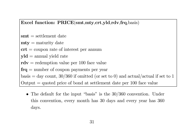Excel function: PRICE(smt,mty,crt,yld,rdv,frq,basis)

 $\textbf{smt} = \text{settlement date}$ 

 $mty =$  maturity date

 $\text{crt} = \text{coupon rate of interest per annum}$ 

 $yld =$ annual yield rate

 $\mathbf{r} \mathbf{dv} = \text{redemption value per 100 face value}$ 

frq <sup>=</sup> number of coupon payments per year

 $basis = day$  count, 30/360 if omitted (or set to 0) and actual/actual if set to 1

Output  $=$  quoted price of bond at settlement date per 100 face value

• The default for the input "basis" is the 30/360 convention. Under this convention, every month has 30 days and every year has 360 days.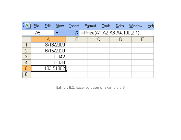|                | <b>File</b>    | Edit | <b>View</b> |  |  | Insert F <u>o</u> rmat <u>T</u> ools <u>D</u> ata | - <u>W</u> indow | <u>Help</u> |
|----------------|----------------|------|-------------|--|--|---------------------------------------------------|------------------|-------------|
|                | A <sub>5</sub> |      |             |  |  | $\hat{K}$ = Price(A1, A2, A3, A4, 100, 2, 1)      |                  |             |
|                |                |      |             |  |  |                                                   |                  |             |
| -1             |                |      | 8/18/2009   |  |  |                                                   |                  |             |
| $\overline{2}$ |                |      | 6/15/2020   |  |  |                                                   |                  |             |
| 3              |                |      | 0.042       |  |  |                                                   |                  |             |
| 4              |                |      | 0.038       |  |  |                                                   |                  |             |
| 5              |                |      | 103,51852   |  |  |                                                   |                  |             |
| 6              |                |      |             |  |  |                                                   |                  |             |

**Exhibit 6.1:** Excel solution of Example 6.6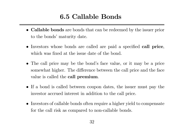### 6.5 Callable Bonds

- Callable bonds are bonds that can be redeemed by the issuer prior to the bonds' maturity date.
- Investors whose bonds are called are paid a specified **call price**, which was fixed at the issue date of the bond.
- The call price may be the bond's face value, or it may be <sup>a</sup> price somewhat higher. The difference between the call price and the face value is called the **call premium**.
- If <sup>a</sup> bond is called between coupon dates, the issuer must pay the investor accrued interest in addition to the call price.
- Investors of callable bonds often require <sup>a</sup> higher <sup>y</sup>ield to compensate for the call risk as compared to non-callable bonds.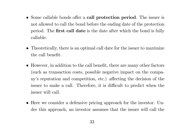- Some callable bonds offer a call protection period. The issuer is not allowed to call the bond before the ending date of the protection period. The first call date is the date after which the bond is fully callable.
- Theoretically, there is an optimal call date for the issuer to maximize the call benefit.
- However, in addition to the call benefit, there are many other factors (such as transaction costs, possible negative impact on the company's reputation and competition, etc.) <sup>a</sup>ffecting the decision of the issuer to make <sup>a</sup> call. Therefore, it is difficult to predict when the issuer will call.
- Here we consider <sup>a</sup> defensive pricing approach for the investor. Under this approach, an investor assumes that the issuer will call the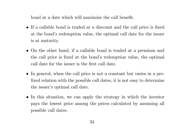bond at <sup>a</sup> date which will maximize the call benefit.

- If <sup>a</sup> callable bond is traded at <sup>a</sup> discount and the call price is fixed at the bond's redemption value, the optimal call date for the issuer is at maturity.
- On the other hand, if <sup>a</sup> callable bond is traded at <sup>a</sup> premium and the call price is fixed at the bond's redemption value, the optimal call date for the issuer is the first call date.
- In general, when the call price is not <sup>a</sup> constant but varies in <sup>a</sup> prefixed relation with the possible call dates, it is not easy to determine the issuer's optimal call date.
- In this situation, we can apply the strategy in which the investor pays the lowest price among the prices calculated by assuming all possible call dates.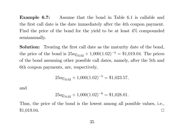**Example 6.7:** Assume that the bond in Table 6.1 is callable and the first call date is the date immediately after the 4th coupon payment. Find the price of the bond for the <sup>y</sup>ield to be at least 4% compounded semiannually.

**Solution:** Treating the first call date as the maturity date of the bond, the price of the bond is  $25a_{\overline{4}|0.02} + 1,000(1.02)^{-4} = $1,019.04$ . The prices of the bond assuming other possible call dates, namely, after the 5th and 6th coupon payments, are, respectively,

$$
25a_{\overline{5}\vert 0.02} + 1,000(1.02)^{-5} = \$1,023.57,
$$

and

$$
25a_{\overline{6}\vert 0.02} + 1,000(1.02)^{-6} = \$1,028.01.
$$

Thus, the price of the bond is the lowest among all possible values, i.e.,  $$1,019.04.$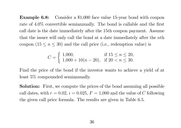Example 6.8: Consider <sup>a</sup> \$1,000 face value 15-year bond with coupon rate of 4.0% convertible semiannually. The bond is callable and the first call date is the date immediately after the 15th coupon payment. Assume that the issuer will only call the bond at <sup>a</sup> date immediately after the <sup>n</sup>th coupon  $(15 \le n \le 30)$  and the call price (i.e., redemption value) is

$$
C = \begin{cases} 1,000, & \text{if } 15 \le n \le 20, \\ 1,000 + 10(n - 20), & \text{if } 20 < n \le 30. \end{cases}
$$

Find the price of the bond if the investor wants to achieve <sup>a</sup> <sup>y</sup>ield of at least 5% compounded semiannually.

**Solution:** First, we compute the prices of the bond assuming all possible call dates, with  $r = 0.02$ ,  $i = 0.025$ ,  $F = 1,000$  and the value of C following the given call price formula. The results are given in Table 6.5.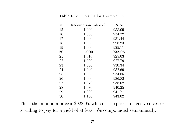Table 6.5:Results for Example 6.8

| $\, n$ | Redemption value $C$ | Price  |
|--------|----------------------|--------|
| 15     | 1,000                | 938.09 |
| 16     | 1,000                | 934.72 |
| 17     | 1,000                | 931.44 |
| 18     | 1,000                | 928.23 |
| 19     | 1,000                | 925.11 |
| 20     | 1,000                | 922.05 |
| 21     | 1,010                | 925.03 |
| 22     | 1,020                | 927.79 |
| 23     | 1,030                | 930.34 |
| 24     | 1,040                | 932.69 |
| 25     | 1,050                | 934.85 |
| 26     | 1,060                | 936.82 |
| 27     | 1,070                | 938.62 |
| 28     | 1,080                | 940.25 |
| 29     | 1,090                | 941.71 |
| 30     | 1,100                | 943.02 |
|        |                      |        |

Thus, the minimum price is \$922.05, which is the price <sup>a</sup> defensive investor is willing to pay for <sup>a</sup> <sup>y</sup>ield of at least 5% compounded semiannually.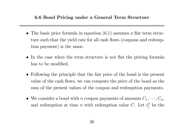- The basic price formula in equation  $(6.1)$  assumes a flat term structure such that the <sup>y</sup>ield rate for all cash flows (coupons and redemption payment) is the same.
- In the case when the term structure is not flat the pricing formula has to be modi fied.
- Following the principle that the fair price of the bond is the present value of the cash flows, we can compute the price of the bond as the sum of the present values of the coupon and redemption payments.
- We consider a bond with *n* coupon payments of amounts  $C_1, \dots, C_n$ , and redemption at time  $n$  with redemption value  $C$ . Let  $i$  $\frac{S}{j}$  be the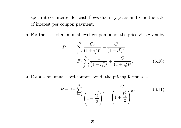spot rate of interest for cash flows due in  $j$  years and  $r$  be the rate of interest per coupon payment.

• For the case of an annual level-coupon bond, the price  $P$  is given by

$$
P = \sum_{j=1}^{n} \frac{C_j}{(1+i_j^S)^j} + \frac{C}{(1+i_n^S)^n}
$$
  
=  $Fr \sum_{j=1}^{n} \frac{1}{(1+i_j^S)^j} + \frac{C}{(1+i_n^S)^n}.$  (6.10)

• For <sup>a</sup> semiannual level-coupon bond, the pricing formula is

$$
P = Fr \sum_{j=1}^{n} \frac{1}{\left(1 + \frac{i_j^S}{2}\right)^j} + \frac{C}{\left(1 + \frac{i_n^S}{2}\right)^n}.
$$
 (6.11)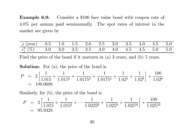Example 6.9: Consider <sup>a</sup> \$100 face value bond with coupon rate of 4.0% per annum paid semiannually. The spot rates of interest in the market are given by

| $j$ (year)                         | $0.5$ 1.0 1.5 |  | $2.0 \quad 2.5 \quad 3.0 \quad 3.5$ |     | 4.0 4.5 |              | 5.0    |
|------------------------------------|---------------|--|-------------------------------------|-----|---------|--------------|--------|
| $\overline{i_{i}^{S}}$ (<br>$(\%)$ | 3.0           |  | $3.0$ $3.5$ $3.5$ $4.0$ $4.0$       | 4.5 | 4.5     | $\sqrt{5.0}$ | $-5.0$ |

Find the price of the bond if it matures in (a) <sup>3</sup> years, and (b) <sup>5</sup> years.

**Solution:** For (a), the price of the bond is

$$
P = 2\left[\frac{1}{1.015} + \frac{1}{1.015^2} + \frac{1}{1.0175^3} + \frac{1}{1.0175^4} + \frac{1}{1.02^5} + \frac{1}{1.02^6}\right] + \frac{100}{1.02^6}
$$
  
= 100.0608.

Similarly, for (b), the price of the bond is

$$
P = 2\left[\frac{1}{1.015} + \frac{1}{1.015^2} + \dots + \frac{1}{1.0225^8} + \frac{1}{1.025^9} + \frac{1}{1.025^{10}}\right] + \frac{100}{1.025^{10}}
$$
  
= 95.9328.